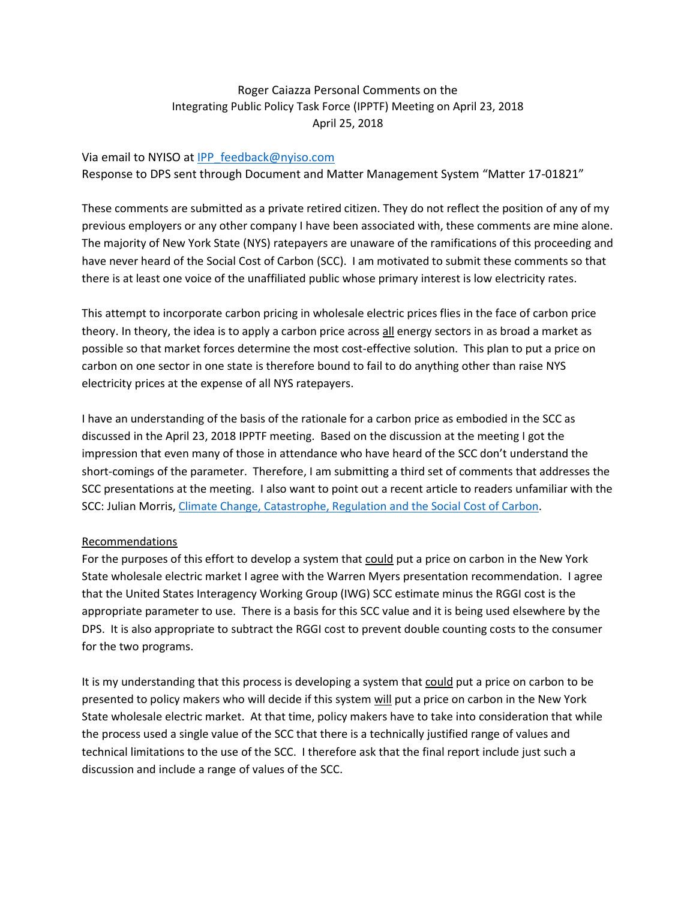## Roger Caiazza Personal Comments on the Integrating Public Policy Task Force (IPPTF) Meeting on April 23, 2018 April 25, 2018

#### Via email to NYISO at [IPP\\_feedback@nyiso.com](mailto:IPP_feedback@nyiso.com)

Response to DPS sent through Document and Matter Management System "Matter 17-01821"

These comments are submitted as a private retired citizen. They do not reflect the position of any of my previous employers or any other company I have been associated with, these comments are mine alone. The majority of New York State (NYS) ratepayers are unaware of the ramifications of this proceeding and have never heard of the Social Cost of Carbon (SCC). I am motivated to submit these comments so that there is at least one voice of the unaffiliated public whose primary interest is low electricity rates.

This attempt to incorporate carbon pricing in wholesale electric prices flies in the face of carbon price theory. In theory, the idea is to apply a carbon price across all energy sectors in as broad a market as possible so that market forces determine the most cost-effective solution. This plan to put a price on carbon on one sector in one state is therefore bound to fail to do anything other than raise NYS electricity prices at the expense of all NYS ratepayers.

I have an understanding of the basis of the rationale for a carbon price as embodied in the SCC as discussed in the April 23, 2018 IPPTF meeting. Based on the discussion at the meeting I got the impression that even many of those in attendance who have heard of the SCC don't understand the short-comings of the parameter. Therefore, I am submitting a third set of comments that addresses the SCC presentations at the meeting. I also want to point out a recent article to readers unfamiliar with the SCC: Julian Morris, [Climate Change, Catastrophe, Regulation and the Social](https://reason.org/policy-study/climate-change-catastrophe-regulation-and-the-social-cost-of-carbon/) Cost of Carbon.

### Recommendations

For the purposes of this effort to develop a system that could put a price on carbon in the New York State wholesale electric market I agree with the Warren Myers presentation recommendation. I agree that the United States Interagency Working Group (IWG) SCC estimate minus the RGGI cost is the appropriate parameter to use. There is a basis for this SCC value and it is being used elsewhere by the DPS. It is also appropriate to subtract the RGGI cost to prevent double counting costs to the consumer for the two programs.

It is my understanding that this process is developing a system that could put a price on carbon to be presented to policy makers who will decide if this system will put a price on carbon in the New York State wholesale electric market. At that time, policy makers have to take into consideration that while the process used a single value of the SCC that there is a technically justified range of values and technical limitations to the use of the SCC. I therefore ask that the final report include just such a discussion and include a range of values of the SCC.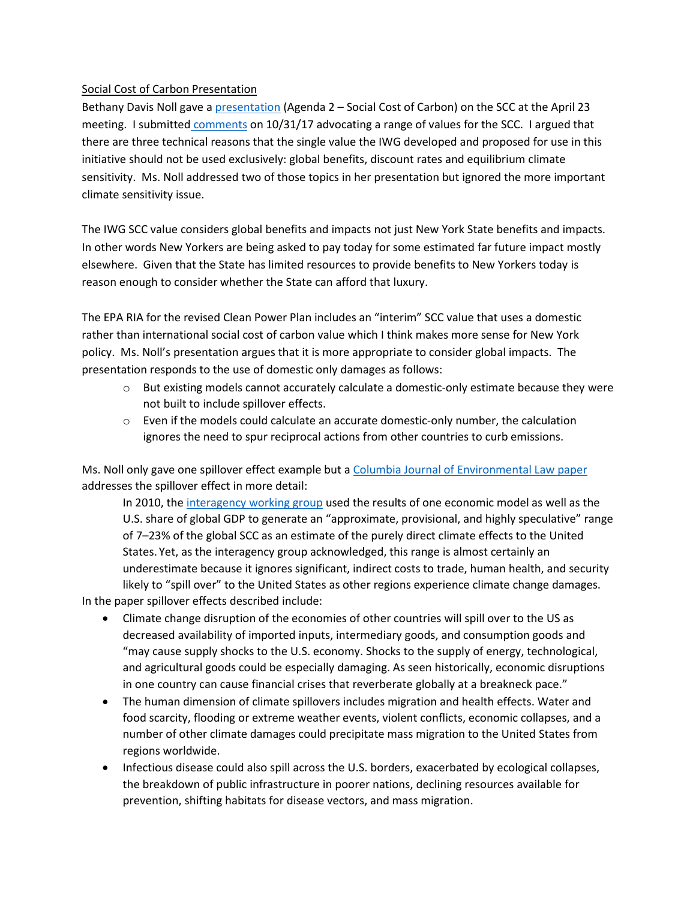## Social Cost of Carbon Presentation

Bethany Davis Noll gave a [presentation](http://www.nyiso.com/public/committees/documents.jsp?com=bic_miwg_ipptf&directory=2018-04-23) (Agenda 2 – Social Cost of Carbon) on the SCC at the April 23 meeting. I submitted [comments](http://documents.dps.ny.gov/public/MatterManagement/CaseMaster.aspx?MatterCaseNo=17-01821&submit=Search) on 10/31/17 advocating a range of values for the SCC. I argued that there are three technical reasons that the single value the IWG developed and proposed for use in this initiative should not be used exclusively: global benefits, discount rates and equilibrium climate sensitivity. Ms. Noll addressed two of those topics in her presentation but ignored the more important climate sensitivity issue.

The IWG SCC value considers global benefits and impacts not just New York State benefits and impacts. In other words New Yorkers are being asked to pay today for some estimated far future impact mostly elsewhere. Given that the State has limited resources to provide benefits to New Yorkers today is reason enough to consider whether the State can afford that luxury.

The EPA RIA for the revised Clean Power Plan includes an "interim" SCC value that uses a domestic rather than international social cost of carbon value which I think makes more sense for New York policy. Ms. Noll's presentation argues that it is more appropriate to consider global impacts. The presentation responds to the use of domestic only damages as follows:

- o But existing models cannot accurately calculate a domestic‐only estimate because they were not built to include spillover effects.
- $\circ$  Even if the models could calculate an accurate domestic-only number, the calculation ignores the need to spur reciprocal actions from other countries to curb emissions.

Ms. Noll only gave one spillover effect example but a [Columbia Journal of Environmental Law paper](http://www.columbiaenvironmentallaw.org/think-global-international-reciprocity-as-justification-for-a-global-social-cost-of-carbon/) addresses the spillover effect in more detail:

In 2010, the [interagency working group](https://www.epa.gov/sites/production/files/2016-12/documents/scc_tsd_2010.pdf) used the results of one economic model as well as the U.S. share of global GDP to generate an "approximate, provisional, and highly speculative" range of 7–23% of the global SCC as an estimate of the purely direct climate effects to the United States. Yet, as the interagency group acknowledged, this range is almost certainly an underestimate because it ignores significant, indirect costs to trade, human health, and security likely to "spill over" to the United States as other regions experience climate change damages. In the paper spillover effects described include:

- Climate change disruption of the economies of other countries will spill over to the US as decreased availability of imported inputs, intermediary goods, and consumption goods and "may cause supply shocks to the U.S. economy. Shocks to the supply of energy, technological, and agricultural goods could be especially damaging. As seen historically, economic disruptions in one country can cause financial crises that reverberate globally at a breakneck pace."
- The human dimension of climate spillovers includes migration and health effects. Water and food scarcity, flooding or extreme weather events, violent conflicts, economic collapses, and a number of other climate damages could precipitate mass migration to the United States from regions worldwide.
- Infectious disease could also spill across the U.S. borders, exacerbated by ecological collapses, the breakdown of public infrastructure in poorer nations, declining resources available for prevention, shifting habitats for disease vectors, and mass migration.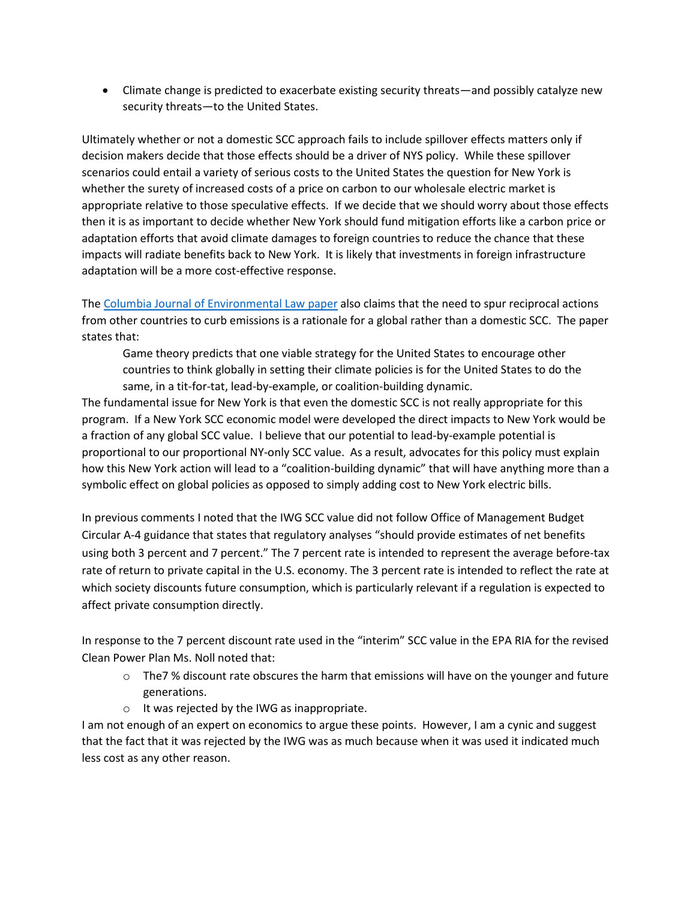Climate change is predicted to exacerbate existing security threats—and possibly catalyze new security threats—to the United States.

Ultimately whether or not a domestic SCC approach fails to include spillover effects matters only if decision makers decide that those effects should be a driver of NYS policy. While these spillover scenarios could entail a variety of serious costs to the United States the question for New York is whether the surety of increased costs of a price on carbon to our wholesale electric market is appropriate relative to those speculative effects. If we decide that we should worry about those effects then it is as important to decide whether New York should fund mitigation efforts like a carbon price or adaptation efforts that avoid climate damages to foreign countries to reduce the chance that these impacts will radiate benefits back to New York. It is likely that investments in foreign infrastructure adaptation will be a more cost-effective response.

The [Columbia Journal of Environmental Law paper](http://www.columbiaenvironmentallaw.org/think-global-international-reciprocity-as-justification-for-a-global-social-cost-of-carbon/) also claims that the need to spur reciprocal actions from other countries to curb emissions is a rationale for a global rather than a domestic SCC. The paper states that:

Game theory predicts that one viable strategy for the United States to encourage other countries to think globally in setting their climate policies is for the United States to do the same, in a tit-for-tat, lead-by-example, or coalition-building dynamic.

The fundamental issue for New York is that even the domestic SCC is not really appropriate for this program. If a New York SCC economic model were developed the direct impacts to New York would be a fraction of any global SCC value. I believe that our potential to lead-by-example potential is proportional to our proportional NY-only SCC value. As a result, advocates for this policy must explain how this New York action will lead to a "coalition-building dynamic" that will have anything more than a symbolic effect on global policies as opposed to simply adding cost to New York electric bills.

In previous comments I noted that the IWG SCC value did not follow Office of Management Budget Circular A-4 guidance that states that regulatory analyses "should provide estimates of net benefits using both 3 percent and 7 percent." The 7 percent rate is intended to represent the average before-tax rate of return to private capital in the U.S. economy. The 3 percent rate is intended to reflect the rate at which society discounts future consumption, which is particularly relevant if a regulation is expected to affect private consumption directly.

In response to the 7 percent discount rate used in the "interim" SCC value in the EPA RIA for the revised Clean Power Plan Ms. Noll noted that:

- $\circ$  The7% discount rate obscures the harm that emissions will have on the younger and future generations.
- o It was rejected by the IWG as inappropriate.

I am not enough of an expert on economics to argue these points. However, I am a cynic and suggest that the fact that it was rejected by the IWG was as much because when it was used it indicated much less cost as any other reason.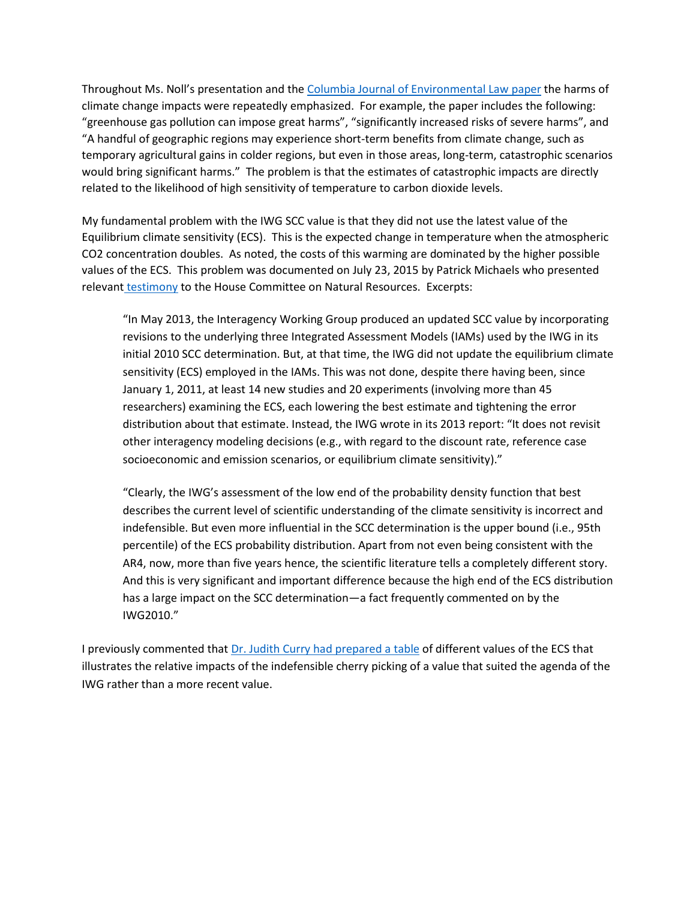Throughout Ms. Noll's presentation and the [Columbia Journal of Environmental Law paper](http://www.columbiaenvironmentallaw.org/think-global-international-reciprocity-as-justification-for-a-global-social-cost-of-carbon/) the harms of climate change impacts were repeatedly emphasized. For example, the paper includes the following: "greenhouse gas pollution can impose great harms", "significantly increased risks of severe harms", and "A handful of geographic regions may experience short-term benefits from climate change, such as temporary agricultural gains in colder regions, but even in those areas, long-term, catastrophic scenarios would bring significant harms." The problem is that the estimates of catastrophic impacts are directly related to the likelihood of high sensitivity of temperature to carbon dioxide levels.

My fundamental problem with the IWG SCC value is that they did not use the latest value of the Equilibrium climate sensitivity (ECS). This is the expected change in temperature when the atmospheric CO2 concentration doubles. As noted, the costs of this warming are dominated by the higher possible values of the ECS. This problem was documented on July 23, 2015 by Patrick Michaels who presented relevant [testimony](http://docs.house.gov/meetings/II/II00/20150722/103843/HHRG-114-II00-Wstate-MichaelsP-20150722.pdf) to the House Committee on Natural Resources. Excerpts:

"In May 2013, the Interagency Working Group produced an updated SCC value by incorporating revisions to the underlying three Integrated Assessment Models (IAMs) used by the IWG in its initial 2010 SCC determination. But, at that time, the IWG did not update the equilibrium climate sensitivity (ECS) employed in the IAMs. This was not done, despite there having been, since January 1, 2011, at least 14 new studies and 20 experiments (involving more than 45 researchers) examining the ECS, each lowering the best estimate and tightening the error distribution about that estimate. Instead, the IWG wrote in its 2013 report: "It does not revisit other interagency modeling decisions (e.g., with regard to the discount rate, reference case socioeconomic and emission scenarios, or equilibrium climate sensitivity)."

"Clearly, the IWG's assessment of the low end of the probability density function that best describes the current level of scientific understanding of the climate sensitivity is incorrect and indefensible. But even more influential in the SCC determination is the upper bound (i.e., 95th percentile) of the ECS probability distribution. Apart from not even being consistent with the AR4, now, more than five years hence, the scientific literature tells a completely different story. And this is very significant and important difference because the high end of the ECS distribution has a large impact on the SCC determination—a fact frequently commented on by the IWG2010."

I previously commented that [Dr. Judith Curry had](https://judithcurry.com/2015/10/05/on-trial-social-cost-of-carbon/) prepared a table of different values of the ECS that illustrates the relative impacts of the indefensible cherry picking of a value that suited the agenda of the IWG rather than a more recent value.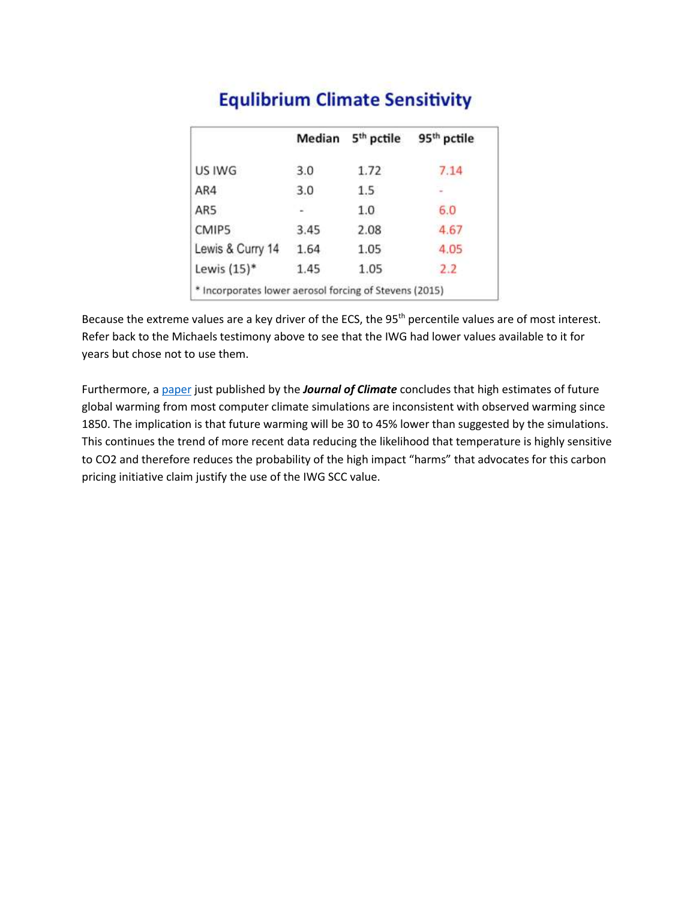|                                                        | Median | 5 <sup>th</sup> pctile | 95 <sup>th</sup> pctile |
|--------------------------------------------------------|--------|------------------------|-------------------------|
| US IWG                                                 | 3.0    | 1.72                   | 7.14                    |
| AR4                                                    | 3.0    | $1.5\,$                |                         |
| AR5                                                    |        | 1.0                    | 6.0                     |
| CMIP5                                                  | 3.45   | 2.08                   | 4.67                    |
| Lewis & Curry 14                                       | 1.64   | 1.05                   | 4.05                    |
| Lewis $(15)^*$                                         | 1.45   | 1.05                   | 2.2                     |
| * Incorporates lower aerosol forcing of Stevens (2015) |        |                        |                         |

# **Equlibrium Climate Sensitivity**

Because the extreme values are a key driver of the ECS, the 95<sup>th</sup> percentile values are of most interest. Refer back to the Michaels testimony above to see that the IWG had lower values available to it for years but chose not to use them.

Furthermore, a [paper](https://thegwpf.us4.list-manage.com/track/click?u=c920274f2a364603849bbb505&id=1702eb5218&e=1afdc1d1a3) just published by the *Journal of Climate* concludes that high estimates of future global warming from most computer climate simulations are inconsistent with observed warming since 1850. The implication is that future warming will be 30 to 45% lower than suggested by the simulations. This continues the trend of more recent data reducing the likelihood that temperature is highly sensitive to CO2 and therefore reduces the probability of the high impact "harms" that advocates for this carbon pricing initiative claim justify the use of the IWG SCC value.